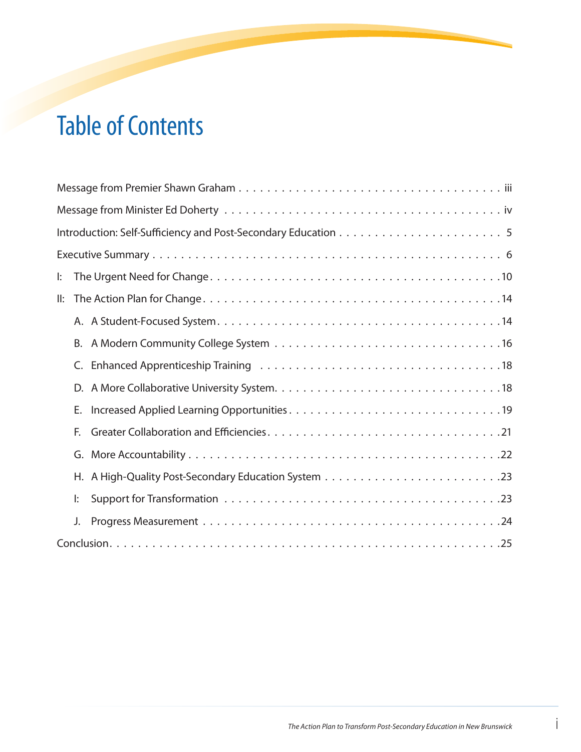# Table of Contents

| $\mathbf{E}$ |
|--------------|
| ll:          |
|              |
| В.           |
| C.           |
| D.           |
| Е.           |
| F.           |
| G.           |
|              |
| l:           |
| J.           |
|              |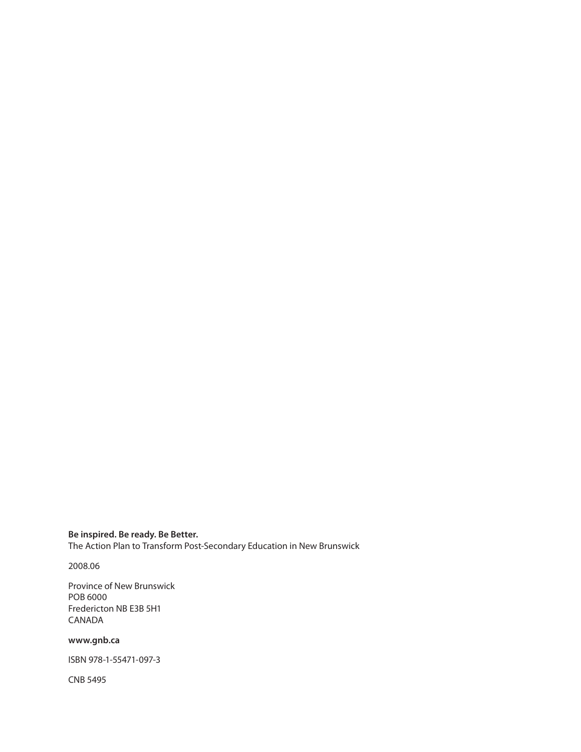**Be inspired. Be ready. Be Better.**  The Action Plan to Transform Post-Secondary Education in New Brunswick

2008.06

Province of New Brunswick POB 6000 Fredericton NB E3B 5H1 CANADA

#### **www.gnb.ca**

ISBN 978-1-55471-097-3

CNB 5495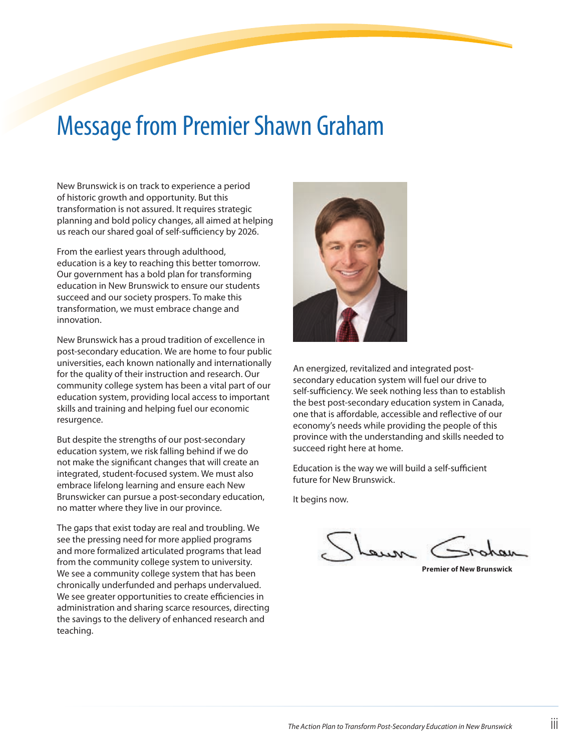## Message from Premier Shawn Graham

New Brunswick is on track to experience a period of historic growth and opportunity. But this transformation is not assured. It requires strategic planning and bold policy changes, all aimed at helping us reach our shared goal of self-sufficiency by 2026.

From the earliest years through adulthood, education is a key to reaching this better tomorrow. Our government has a bold plan for transforming education in New Brunswick to ensure our students succeed and our society prospers. To make this transformation, we must embrace change and innovation.

New Brunswick has a proud tradition of excellence in post-secondary education. We are home to four public universities, each known nationally and internationally for the quality of their instruction and research. Our community college system has been a vital part of our education system, providing local access to important skills and training and helping fuel our economic resurgence.

But despite the strengths of our post-secondary education system, we risk falling behind if we do not make the significant changes that will create an integrated, student-focused system. We must also embrace lifelong learning and ensure each New Brunswicker can pursue a post-secondary education, no matter where they live in our province.

The gaps that exist today are real and troubling. We see the pressing need for more applied programs and more formalized articulated programs that lead from the community college system to university. We see a community college system that has been chronically underfunded and perhaps undervalued. We see greater opportunities to create efficiencies in administration and sharing scarce resources, directing the savings to the delivery of enhanced research and teaching.



An energized, revitalized and integrated postsecondary education system will fuel our drive to self-sufficiency. We seek nothing less than to establish the best post-secondary education system in Canada, one that is affordable, accessible and reflective of our economy's needs while providing the people of this province with the understanding and skills needed to succeed right here at home.

Education is the way we will build a self-sufficient future for New Brunswick.

It begins now.

**Premier of New Brunswick**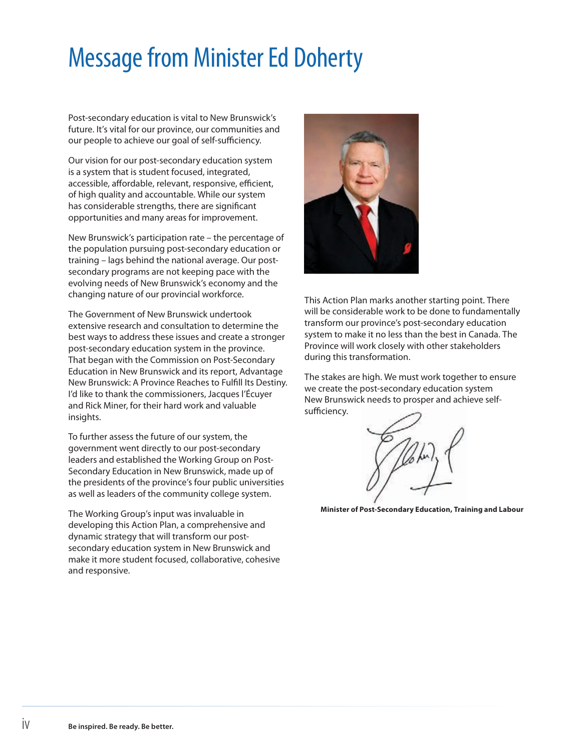# Message from Minister Ed Doherty

Post-secondary education is vital to New Brunswick's future. It's vital for our province, our communities and our people to achieve our goal of self-sufficiency.

Our vision for our post-secondary education system is a system that is student focused, integrated, accessible, affordable, relevant, responsive, efficient, of high quality and accountable. While our system has considerable strengths, there are significant opportunities and many areas for improvement.

New Brunswick's participation rate – the percentage of the population pursuing post-secondary education or training – lags behind the national average. Our postsecondary programs are not keeping pace with the evolving needs of New Brunswick's economy and the changing nature of our provincial workforce.

The Government of New Brunswick undertook extensive research and consultation to determine the best ways to address these issues and create a stronger post-secondary education system in the province. That began with the Commission on Post-Secondary Education in New Brunswick and its report, Advantage New Brunswick: A Province Reaches to Fulfill Its Destiny. I'd like to thank the commissioners, Jacques l'Écuyer and Rick Miner, for their hard work and valuable insights.

To further assess the future of our system, the government went directly to our post-secondary leaders and established the Working Group on Post-Secondary Education in New Brunswick, made up of the presidents of the province's four public universities as well as leaders of the community college system.

The Working Group's input was invaluable in developing this Action Plan, a comprehensive and dynamic strategy that will transform our postsecondary education system in New Brunswick and make it more student focused, collaborative, cohesive and responsive.



This Action Plan marks another starting point. There will be considerable work to be done to fundamentally transform our province's post-secondary education system to make it no less than the best in Canada. The Province will work closely with other stakeholders during this transformation.

The stakes are high. We must work together to ensure we create the post-secondary education system New Brunswick needs to prosper and achieve selfsufficiency.

**Minister of Post-Secondary Education, Training and Labour**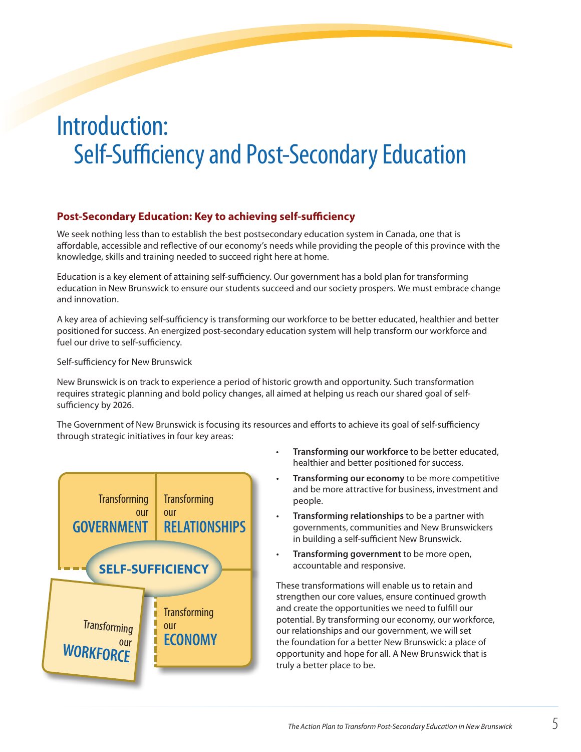## Introduction: Self-Sufficiency and Post-Secondary Education

#### **Post-Secondary Education: Key to achieving self-sufficiency**

We seek nothing less than to establish the best postsecondary education system in Canada, one that is affordable, accessible and reflective of our economy's needs while providing the people of this province with the knowledge, skills and training needed to succeed right here at home.

Education is a key element of attaining self-sufficiency. Our government has a bold plan for transforming education in New Brunswick to ensure our students succeed and our society prospers. We must embrace change and innovation.

A key area of achieving self-sufficiency is transforming our workforce to be better educated, healthier and better positioned for success. An energized post-secondary education system will help transform our workforce and fuel our drive to self-sufficiency.

Self-sufficiency for New Brunswick

New Brunswick is on track to experience a period of historic growth and opportunity. Such transformation requires strategic planning and bold policy changes, all aimed at helping us reach our shared goal of selfsufficiency by 2026.

The Government of New Brunswick is focusing its resources and efforts to achieve its goal of self-sufficiency through strategic initiatives in four key areas:



- Transforming our workforce to be better educated, healthier and better positioned for success.
- **Transforming our economy** to be more competitive and be more attractive for business, investment and people.
- **Transforming relationships** to be a partner with governments, communities and New Brunswickers in building a self-sufficient New Brunswick.
- Transforming government to be more open, accountable and responsive.

These transformations will enable us to retain and strengthen our core values, ensure continued growth and create the opportunities we need to fulfill our potential. By transforming our economy, our workforce, our relationships and our government, we will set the foundation for a better New Brunswick: a place of opportunity and hope for all. A New Brunswick that is truly a better place to be.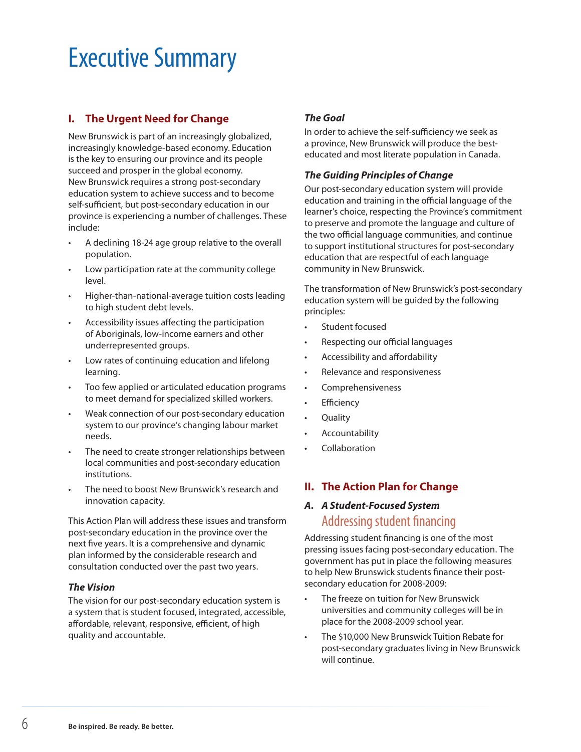## Executive Summary

#### **I. The Urgent Need for Change**

New Brunswick is part of an increasingly globalized, increasingly knowledge-based economy. Education is the key to ensuring our province and its people succeed and prosper in the global economy. New Brunswick requires a strong post-secondary education system to achieve success and to become self-sufficient, but post-secondary education in our province is experiencing a number of challenges. These include:

- A declining 18-24 age group relative to the overall population.
- Low participation rate at the community college level.
- Higher-than-national-average tuition costs leading to high student debt levels.
- Accessibility issues affecting the participation of Aboriginals, low-income earners and other underrepresented groups.
- Low rates of continuing education and lifelong learning.
- Too few applied or articulated education programs to meet demand for specialized skilled workers.
- Weak connection of our post-secondary education system to our province's changing labour market needs.
- The need to create stronger relationships between local communities and post-secondary education institutions.
- The need to boost New Brunswick's research and innovation capacity.

This Action Plan will address these issues and transform post-secondary education in the province over the next five years. It is a comprehensive and dynamic plan informed by the considerable research and consultation conducted over the past two years.

#### *The Vision*

The vision for our post-secondary education system is a system that is student focused, integrated, accessible, affordable, relevant, responsive, efficient, of high quality and accountable.

#### *The Goal*

In order to achieve the self-sufficiency we seek as a province, New Brunswick will produce the besteducated and most literate population in Canada.

#### *The Guiding Principles of Change*

Our post-secondary education system will provide education and training in the official language of the learner's choice, respecting the Province's commitment to preserve and promote the language and culture of the two official language communities, and continue to support institutional structures for post-secondary education that are respectful of each language community in New Brunswick.

The transformation of New Brunswick's post-secondary education system will be guided by the following principles:

- Student focused
- Respecting our official languages
- Accessibility and affordability
- Relevance and responsiveness
- **Comprehensiveness**
- **Efficiency**
- **Quality**
- **Accountability**
- **Collaboration**

#### **II. The Action Plan for Change**

#### *A. A Student-Focused System* Addressing student financing

Addressing student financing is one of the most pressing issues facing post-secondary education. The government has put in place the following measures to help New Brunswick students finance their postsecondary education for 2008-2009:

- • The freeze on tuition for New Brunswick universities and community colleges will be in place for the 2008-2009 school year.
- • The \$10,000 New Brunswick Tuition Rebate for post-secondary graduates living in New Brunswick will continue.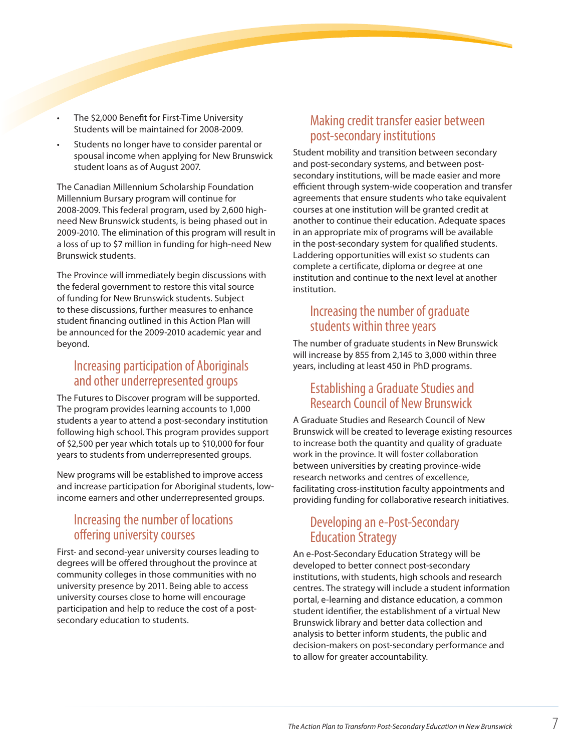- The \$2,000 Benefit for First-Time University Students will be maintained for 2008-2009.
- Students no longer have to consider parental or spousal income when applying for New Brunswick student loans as of August 2007.

The Canadian Millennium Scholarship Foundation Millennium Bursary program will continue for 2008-2009. This federal program, used by 2,600 highneed New Brunswick students, is being phased out in 2009-2010. The elimination of this program will result in a loss of up to \$7 million in funding for high-need New Brunswick students.

The Province will immediately begin discussions with the federal government to restore this vital source of funding for New Brunswick students. Subject to these discussions, further measures to enhance student financing outlined in this Action Plan will be announced for the 2009-2010 academic year and beyond.

## Increasing participation of Aboriginals and other underrepresented groups

The Futures to Discover program will be supported. The program provides learning accounts to 1,000 students a year to attend a post-secondary institution following high school. This program provides support of \$2,500 per year which totals up to \$10,000 for four years to students from underrepresented groups.

New programs will be established to improve access and increase participation for Aboriginal students, lowincome earners and other underrepresented groups.

## Increasing the number of locations offering university courses

First- and second-year university courses leading to degrees will be offered throughout the province at community colleges in those communities with no university presence by 2011. Being able to access university courses close to home will encourage participation and help to reduce the cost of a postsecondary education to students.

## Making credit transfer easier between post-secondary institutions

Student mobility and transition between secondary and post-secondary systems, and between postsecondary institutions, will be made easier and more efficient through system-wide cooperation and transfer agreements that ensure students who take equivalent courses at one institution will be granted credit at another to continue their education. Adequate spaces in an appropriate mix of programs will be available in the post-secondary system for qualified students. Laddering opportunities will exist so students can complete a certificate, diploma or degree at one institution and continue to the next level at another institution.

#### Increasing the number of graduate students within three years

The number of graduate students in New Brunswick will increase by 855 from 2,145 to 3,000 within three years, including at least 450 in PhD programs.

## Establishing a Graduate Studies and Research Council of New Brunswick

A Graduate Studies and Research Council of New Brunswick will be created to leverage existing resources to increase both the quantity and quality of graduate work in the province. It will foster collaboration between universities by creating province-wide research networks and centres of excellence, facilitating cross-institution faculty appointments and providing funding for collaborative research initiatives.

## Developing an e-Post-Secondary Education Strategy

An e-Post-Secondary Education Strategy will be developed to better connect post-secondary institutions, with students, high schools and research centres. The strategy will include a student information portal, e-learning and distance education, a common student identifier, the establishment of a virtual New Brunswick library and better data collection and analysis to better inform students, the public and decision-makers on post-secondary performance and to allow for greater accountability.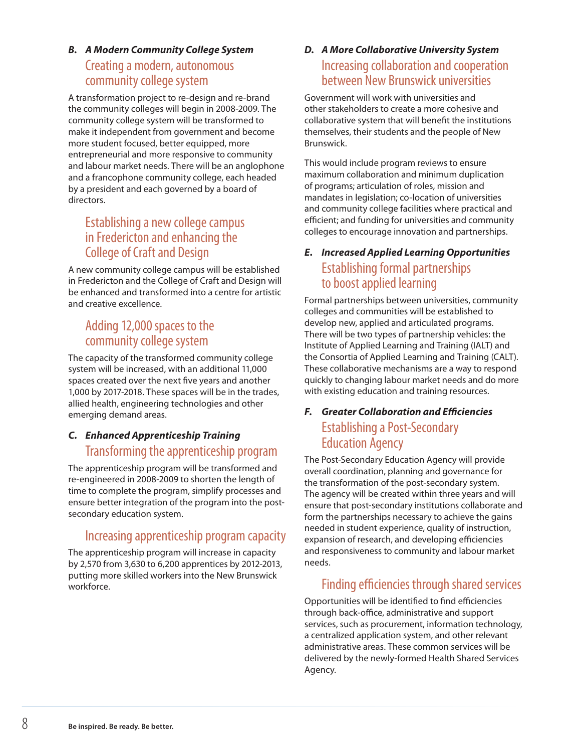#### *B. A Modern Community College System*  Creating a modern, autonomous community college system

A transformation project to re-design and re-brand the community colleges will begin in 2008-2009. The community college system will be transformed to make it independent from government and become more student focused, better equipped, more entrepreneurial and more responsive to community and labour market needs. There will be an anglophone and a francophone community college, each headed by a president and each governed by a board of directors.

## Establishing a new college campus in Fredericton and enhancing the College of Craft and Design

A new community college campus will be established in Fredericton and the College of Craft and Design will be enhanced and transformed into a centre for artistic and creative excellence.

## Adding 12,000 spaces to the community college system

The capacity of the transformed community college system will be increased, with an additional 11,000 spaces created over the next five years and another 1,000 by 2017-2018. These spaces will be in the trades, allied health, engineering technologies and other emerging demand areas.

## *C. Enhanced Apprenticeship Training* Transforming the apprenticeship program

The apprenticeship program will be transformed and re-engineered in 2008-2009 to shorten the length of time to complete the program, simplify processes and ensure better integration of the program into the postsecondary education system.

## Increasing apprenticeship program capacity

The apprenticeship program will increase in capacity by 2,570 from 3,630 to 6,200 apprentices by 2012-2013, putting more skilled workers into the New Brunswick workforce.

## *D. A More Collaborative University System* Increasing collaboration and cooperation between New Brunswick universities

Government will work with universities and other stakeholders to create a more cohesive and collaborative system that will benefit the institutions themselves, their students and the people of New Brunswick.

This would include program reviews to ensure maximum collaboration and minimum duplication of programs; articulation of roles, mission and mandates in legislation; co-location of universities and community college facilities where practical and efficient; and funding for universities and community colleges to encourage innovation and partnerships.

## *E. Increased Applied Learning Opportunities* Establishing formal partnerships to boost applied learning

Formal partnerships between universities, community colleges and communities will be established to develop new, applied and articulated programs. There will be two types of partnership vehicles: the Institute of Applied Learning and Training (IALT) and the Consortia of Applied Learning and Training (CALT). These collaborative mechanisms are a way to respond quickly to changing labour market needs and do more with existing education and training resources.

## *F. Greater Collaboration and Efficiencies* Establishing a Post-Secondary Education Agency

The Post-Secondary Education Agency will provide overall coordination, planning and governance for the transformation of the post-secondary system. The agency will be created within three years and will ensure that post-secondary institutions collaborate and form the partnerships necessary to achieve the gains needed in student experience, quality of instruction, expansion of research, and developing efficiencies and responsiveness to community and labour market needs.

## Finding efficiencies through shared services

Opportunities will be identified to find efficiencies through back-office, administrative and support services, such as procurement, information technology, a centralized application system, and other relevant administrative areas. These common services will be delivered by the newly-formed Health Shared Services Agency.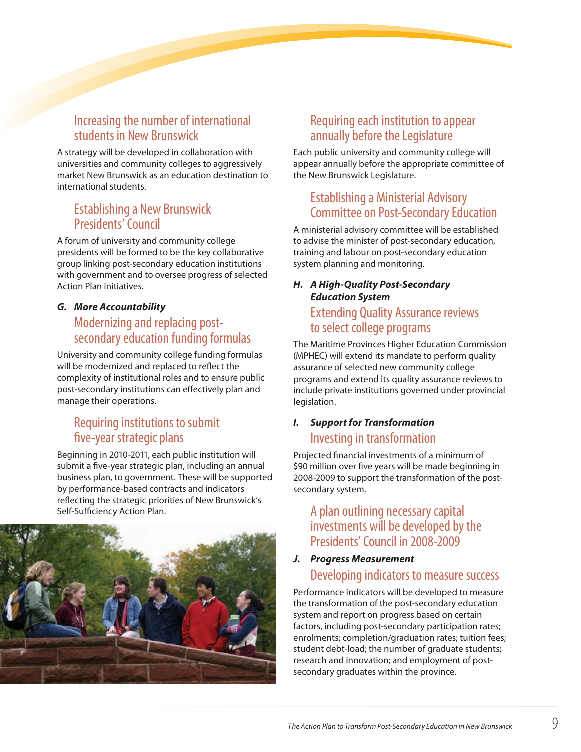## Increasing the number of international students in New Brunswick

A strategy will be developed in collaboration with universities and community colleges to aggressively market New Brunswick as an education destination to international students.

## Establishing a New Brunswick Presidents' Council

A forum of university and community college presidents will be formed to be the key collaborative group linking post-secondary education institutions with government and to oversee progress of selected Action Plan initiatives.

#### *G. More Accountability* Modernizing and replacing postsecondary education funding formulas

University and community college funding formulas will be modernized and replaced to reflect the complexity of institutional roles and to ensure public post-secondary institutions can effectively plan and manage their operations.

## Requiring institutions to submit five-year strategic plans

Beginning in 2010-2011, each public institution will submit a five-year strategic plan, including an annual business plan, to government. These will be supported by performance-based contracts and indicators reflecting the strategic priorities of New Brunswick's Self-Sufficiency Action Plan.



## Requiring each institution to appear annually before the Legislature

Each public university and community college will appear annually before the appropriate committee of the New Brunswick Legislature.

## Establishing a Ministerial Advisory Committee on Post-Secondary Education

A ministerial advisory committee will be established to advise the minister of post-secondary education, training and labour on post-secondary education system planning and monitoring.

#### *H. A High-Quality Post-Secondary Education System*

## Extending Quality Assurance reviews to select college programs

The Maritime Provinces Higher Education Commission (MPHEC) will extend its mandate to perform quality assurance of selected new community college programs and extend its quality assurance reviews to include private institutions governed under provincial legislation.

## *I. Support for Transformation* Investing in transformation

Projected financial investments of a minimum of \$90 million over five years will be made beginning in 2008-2009 to support the transformation of the postsecondary system.

## A plan outlining necessary capital investments will be developed by the Presidents' Council in 2008-2009

#### *J. Progress Measurement* Developing indicators to measure success

Performance indicators will be developed to measure the transformation of the post-secondary education system and report on progress based on certain factors, including post-secondary participation rates; enrolments; completion/graduation rates; tuition fees; student debt-load; the number of graduate students; research and innovation; and employment of postsecondary graduates within the province.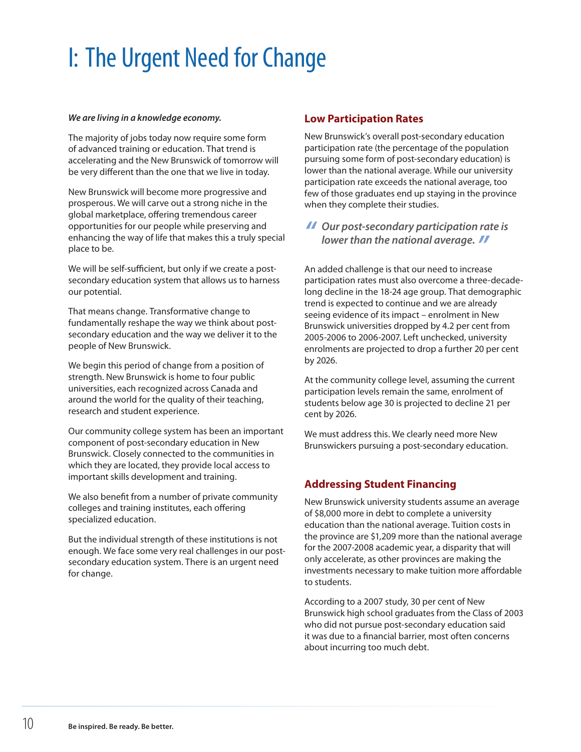# I: The Urgent Need for Change

#### *We are living in a knowledge economy.*

The majority of jobs today now require some form of advanced training or education. That trend is accelerating and the New Brunswick of tomorrow will be very different than the one that we live in today.

New Brunswick will become more progressive and prosperous. We will carve out a strong niche in the global marketplace, offering tremendous career opportunities for our people while preserving and enhancing the way of life that makes this a truly special place to be.

We will be self-sufficient, but only if we create a postsecondary education system that allows us to harness our potential.

That means change. Transformative change to fundamentally reshape the way we think about postsecondary education and the way we deliver it to the people of New Brunswick.

We begin this period of change from a position of strength. New Brunswick is home to four public universities, each recognized across Canada and around the world for the quality of their teaching, research and student experience.

Our community college system has been an important component of post-secondary education in New Brunswick. Closely connected to the communities in which they are located, they provide local access to important skills development and training.

We also benefit from a number of private community colleges and training institutes, each offering specialized education.

But the individual strength of these institutions is not enough. We face some very real challenges in our postsecondary education system. There is an urgent need for change.

#### **Low Participation Rates**

New Brunswick's overall post-secondary education participation rate (the percentage of the population pursuing some form of post-secondary education) is lower than the national average. While our university participation rate exceeds the national average, too few of those graduates end up staying in the province when they complete their studies.

*" Our post-secondary participation rate is lower than the national average. "*

An added challenge is that our need to increase participation rates must also overcome a three-decadelong decline in the 18-24 age group. That demographic trend is expected to continue and we are already seeing evidence of its impact – enrolment in New Brunswick universities dropped by 4.2 per cent from 2005-2006 to 2006-2007. Left unchecked, university enrolments are projected to drop a further 20 per cent by 2026.

At the community college level, assuming the current participation levels remain the same, enrolment of students below age 30 is projected to decline 21 per cent by 2026.

We must address this. We clearly need more New Brunswickers pursuing a post-secondary education.

#### **Addressing Student Financing**

New Brunswick university students assume an average of \$8,000 more in debt to complete a university education than the national average. Tuition costs in the province are \$1,209 more than the national average for the 2007-2008 academic year, a disparity that will only accelerate, as other provinces are making the investments necessary to make tuition more affordable to students.

According to a 2007 study, 30 per cent of New Brunswick high school graduates from the Class of 2003 who did not pursue post-secondary education said it was due to a financial barrier, most often concerns about incurring too much debt.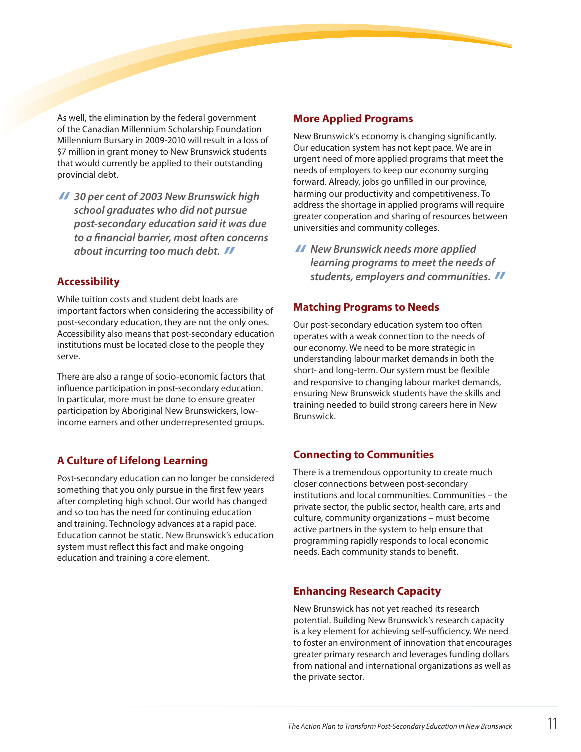As well, the elimination by the federal government of the Canadian Millennium Scholarship Foundation Millennium Bursary in 2009-2010 will result in a loss of \$7 million in grant money to New Brunswick students that would currently be applied to their outstanding provincial debt.

*" 30 per cent of 2003 New Brunswick high school graduates who did not pursue post-secondary education said it was due to a financial barrier, most often concerns about incurring too much debt. "*

#### **Accessibility**

While tuition costs and student debt loads are important factors when considering the accessibility of post-secondary education, they are not the only ones. Accessibility also means that post-secondary education institutions must be located close to the people they serve.

There are also a range of socio-economic factors that influence participation in post-secondary education. In particular, more must be done to ensure greater participation by Aboriginal New Brunswickers, lowincome earners and other underrepresented groups.

#### **A Culture of Lifelong Learning**

Post-secondary education can no longer be considered something that you only pursue in the first few years after completing high school. Our world has changed and so too has the need for continuing education and training. Technology advances at a rapid pace. Education cannot be static. New Brunswick's education system must reflect this fact and make ongoing education and training a core element.

#### **More Applied Programs**

New Brunswick's economy is changing significantly. Our education system has not kept pace. We are in urgent need of more applied programs that meet the needs of employers to keep our economy surging forward. Already, jobs go unfilled in our province, harming our productivity and competitiveness. To address the shortage in applied programs will require greater cooperation and sharing of resources between universities and community colleges.

*" New Brunswick needs more applied learning programs to meet the needs of students, employers and communities. "*

#### **Matching Programs to Needs**

Our post-secondary education system too often operates with a weak connection to the needs of our economy. We need to be more strategic in understanding labour market demands in both the short- and long-term. Our system must be flexible and responsive to changing labour market demands, ensuring New Brunswick students have the skills and training needed to build strong careers here in New Brunswick.

#### **Connecting to Communities**

There is a tremendous opportunity to create much closer connections between post-secondary institutions and local communities. Communities – the private sector, the public sector, health care, arts and culture, community organizations – must become active partners in the system to help ensure that programming rapidly responds to local economic needs. Each community stands to benefit.

#### **Enhancing Research Capacity**

New Brunswick has not yet reached its research potential. Building New Brunswick's research capacity is a key element for achieving self-sufficiency. We need to foster an environment of innovation that encourages greater primary research and leverages funding dollars from national and international organizations as well as the private sector.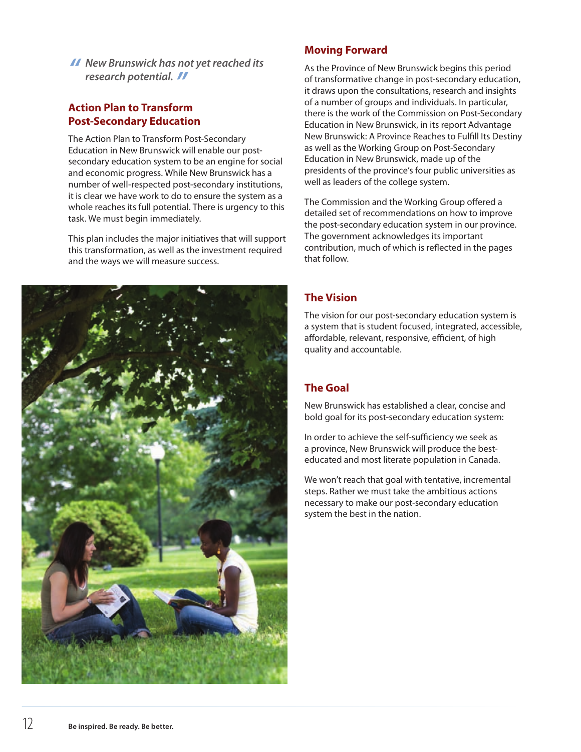*" New Brunswick has not yet reached its research potential. "*

#### **Action Plan to Transform Post-Secondary Education**

The Action Plan to Transform Post-Secondary Education in New Brunswick will enable our postsecondary education system to be an engine for social and economic progress. While New Brunswick has a number of well-respected post-secondary institutions, it is clear we have work to do to ensure the system as a whole reaches its full potential. There is urgency to this task. We must begin immediately.

This plan includes the major initiatives that will support this transformation, as well as the investment required and the ways we will measure success.



#### **Moving Forward**

As the Province of New Brunswick begins this period of transformative change in post-secondary education, it draws upon the consultations, research and insights of a number of groups and individuals. In particular, there is the work of the Commission on Post-Secondary Education in New Brunswick, in its report Advantage New Brunswick: A Province Reaches to Fulfill Its Destiny as well as the Working Group on Post-Secondary Education in New Brunswick, made up of the presidents of the province's four public universities as well as leaders of the college system.

The Commission and the Working Group offered a detailed set of recommendations on how to improve the post-secondary education system in our province. The government acknowledges its important contribution, much of which is reflected in the pages that follow.

#### **The Vision**

The vision for our post-secondary education system is a system that is student focused, integrated, accessible, affordable, relevant, responsive, efficient, of high quality and accountable.

#### **The Goal**

New Brunswick has established a clear, concise and bold goal for its post-secondary education system:

In order to achieve the self-sufficiency we seek as a province, New Brunswick will produce the besteducated and most literate population in Canada.

We won't reach that goal with tentative, incremental steps. Rather we must take the ambitious actions necessary to make our post-secondary education system the best in the nation.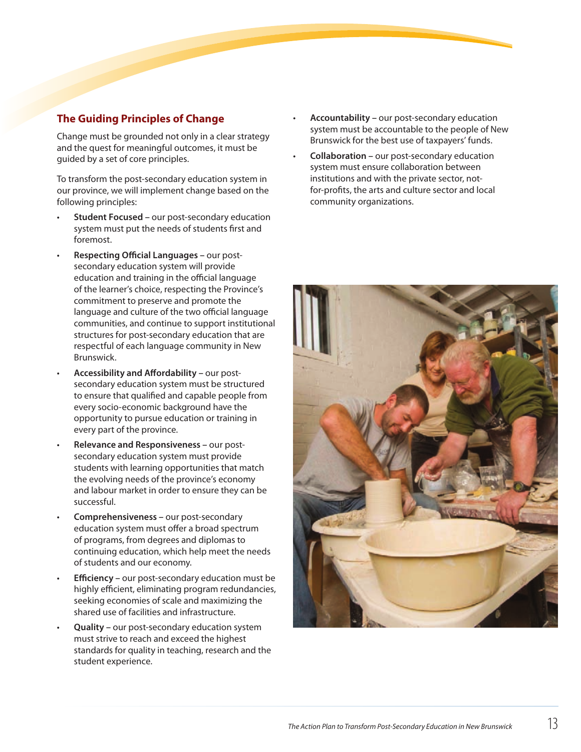#### **The Guiding Principles of Change**

Change must be grounded not only in a clear strategy and the quest for meaningful outcomes, it must be guided by a set of core principles.

To transform the post-secondary education system in our province, we will implement change based on the following principles:

- **Student Focused –** our post-secondary education system must put the needs of students first and foremost.
- **Respecting Official Languages our post**secondary education system will provide education and training in the official language of the learner's choice, respecting the Province's commitment to preserve and promote the language and culture of the two official language communities, and continue to support institutional structures for post-secondary education that are respectful of each language community in New Brunswick.
- **Accessibility and Affordability our post**secondary education system must be structured to ensure that qualified and capable people from every socio-economic background have the opportunity to pursue education or training in every part of the province.
- **Relevance and Responsiveness our post**secondary education system must provide students with learning opportunities that match the evolving needs of the province's economy and labour market in order to ensure they can be successful.
- **Comprehensiveness -** our post-secondary education system must offer a broad spectrum of programs, from degrees and diplomas to continuing education, which help meet the needs of students and our economy.
- **Efficiency** our post-secondary education must be highly efficient, eliminating program redundancies, seeking economies of scale and maximizing the shared use of facilities and infrastructure.
- **Quality** our post-secondary education system must strive to reach and exceed the highest standards for quality in teaching, research and the student experience.
- **Accountability our post-secondary education** system must be accountable to the people of New Brunswick for the best use of taxpayers' funds.
- **Collaboration** our post-secondary education system must ensure collaboration between institutions and with the private sector, notfor-profits, the arts and culture sector and local community organizations.

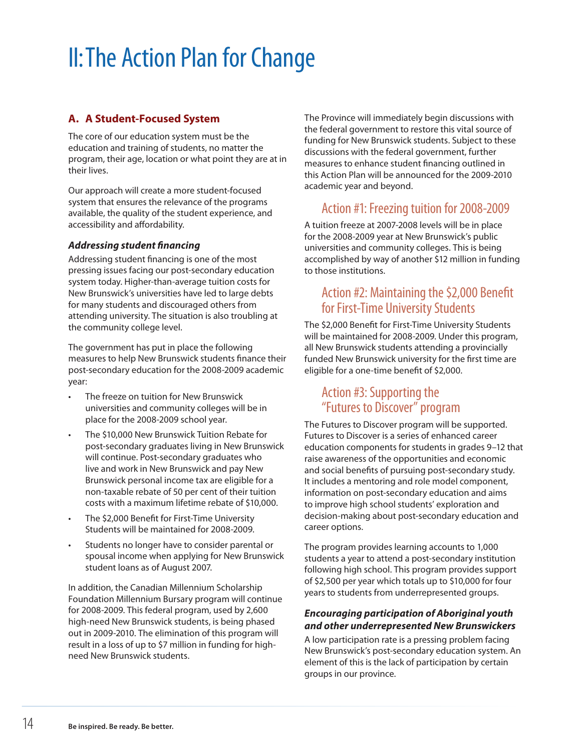# II:The Action Plan for Change

#### **A. A Student-Focused System**

The core of our education system must be the education and training of students, no matter the program, their age, location or what point they are at in their lives.

Our approach will create a more student-focused system that ensures the relevance of the programs available, the quality of the student experience, and accessibility and affordability.

#### *Addressing student financing*

Addressing student financing is one of the most pressing issues facing our post-secondary education system today. Higher-than-average tuition costs for New Brunswick's universities have led to large debts for many students and discouraged others from attending university. The situation is also troubling at the community college level.

The government has put in place the following measures to help New Brunswick students finance their post-secondary education for the 2008-2009 academic year:

- The freeze on tuition for New Brunswick universities and community colleges will be in place for the 2008-2009 school year.
- The \$10,000 New Brunswick Tuition Rebate for post-secondary graduates living in New Brunswick will continue. Post-secondary graduates who live and work in New Brunswick and pay New Brunswick personal income tax are eligible for a non-taxable rebate of 50 per cent of their tuition costs with a maximum lifetime rebate of \$10,000.
- The \$2,000 Benefit for First-Time University Students will be maintained for 2008-2009.
- Students no longer have to consider parental or spousal income when applying for New Brunswick student loans as of August 2007.

In addition, the Canadian Millennium Scholarship Foundation Millennium Bursary program will continue for 2008-2009. This federal program, used by 2,600 high-need New Brunswick students, is being phased out in 2009-2010. The elimination of this program will result in a loss of up to \$7 million in funding for highneed New Brunswick students.

The Province will immediately begin discussions with the federal government to restore this vital source of funding for New Brunswick students. Subject to these discussions with the federal government, further measures to enhance student financing outlined in this Action Plan will be announced for the 2009-2010 academic year and beyond.

## Action #1: Freezing tuition for 2008-2009

A tuition freeze at 2007-2008 levels will be in place for the 2008-2009 year at New Brunswick's public universities and community colleges. This is being accomplished by way of another \$12 million in funding to those institutions.

#### Action #2: Maintaining the \$2,000 Benefit for First-Time University Students

The \$2,000 Benefit for First-Time University Students will be maintained for 2008-2009. Under this program, all New Brunswick students attending a provincially funded New Brunswick university for the first time are eligible for a one-time benefit of \$2,000.

#### Action #3: Supporting the "Futures to Discover" program

The Futures to Discover program will be supported. Futures to Discover is a series of enhanced career education components for students in grades 9–12 that raise awareness of the opportunities and economic and social benefits of pursuing post-secondary study. It includes a mentoring and role model component, information on post-secondary education and aims to improve high school students' exploration and decision-making about post-secondary education and career options.

The program provides learning accounts to 1,000 students a year to attend a post-secondary institution following high school. This program provides support of \$2,500 per year which totals up to \$10,000 for four years to students from underrepresented groups.

#### *Encouraging participation of Aboriginal youth and other underrepresented New Brunswickers*

A low participation rate is a pressing problem facing New Brunswick's post-secondary education system. An element of this is the lack of participation by certain groups in our province.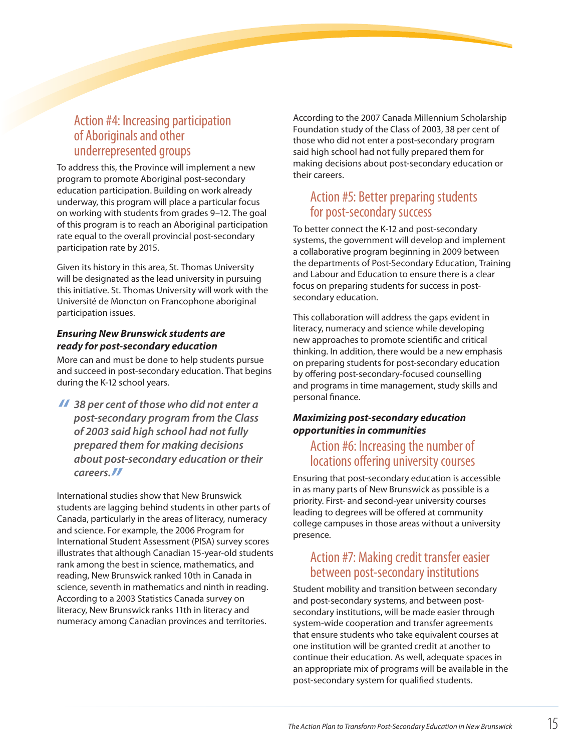## Action #4: Increasing participation of Aboriginals and other underrepresented groups

To address this, the Province will implement a new program to promote Aboriginal post-secondary education participation. Building on work already underway, this program will place a particular focus on working with students from grades 9–12. The goal of this program is to reach an Aboriginal participation rate equal to the overall provincial post-secondary participation rate by 2015.

Given its history in this area, St. Thomas University will be designated as the lead university in pursuing this initiative. St. Thomas University will work with the Université de Moncton on Francophone aboriginal participation issues.

#### *Ensuring New Brunswick students are ready for post-secondary education*

More can and must be done to help students pursue and succeed in post-secondary education. That begins during the K-12 school years.

*" 38 per cent of those who did not enter a post-secondary program from the Class of 2003 said high school had not fully prepared them for making decisions about post-secondary education or their careers."*

International studies show that New Brunswick students are lagging behind students in other parts of Canada, particularly in the areas of literacy, numeracy and science. For example, the 2006 Program for International Student Assessment (PISA) survey scores illustrates that although Canadian 15-year-old students rank among the best in science, mathematics, and reading, New Brunswick ranked 10th in Canada in science, seventh in mathematics and ninth in reading. According to a 2003 Statistics Canada survey on literacy, New Brunswick ranks 11th in literacy and numeracy among Canadian provinces and territories.

According to the 2007 Canada Millennium Scholarship Foundation study of the Class of 2003, 38 per cent of those who did not enter a post-secondary program said high school had not fully prepared them for making decisions about post-secondary education or their careers.

## Action #5: Better preparing students for post-secondary success

To better connect the K-12 and post-secondary systems, the government will develop and implement a collaborative program beginning in 2009 between the departments of Post-Secondary Education, Training and Labour and Education to ensure there is a clear focus on preparing students for success in postsecondary education.

This collaboration will address the gaps evident in literacy, numeracy and science while developing new approaches to promote scientific and critical thinking. In addition, there would be a new emphasis on preparing students for post-secondary education by offering post-secondary-focused counselling and programs in time management, study skills and personal finance.

#### *Maximizing post-secondary education opportunities in communities*

## Action #6: Increasing the number of locations offering university courses

Ensuring that post-secondary education is accessible in as many parts of New Brunswick as possible is a priority. First- and second-year university courses leading to degrees will be offered at community college campuses in those areas without a university presence.

## Action #7: Making credit transfer easier between post-secondary institutions

Student mobility and transition between secondary and post-secondary systems, and between postsecondary institutions, will be made easier through system-wide cooperation and transfer agreements that ensure students who take equivalent courses at one institution will be granted credit at another to continue their education. As well, adequate spaces in an appropriate mix of programs will be available in the post-secondary system for qualified students.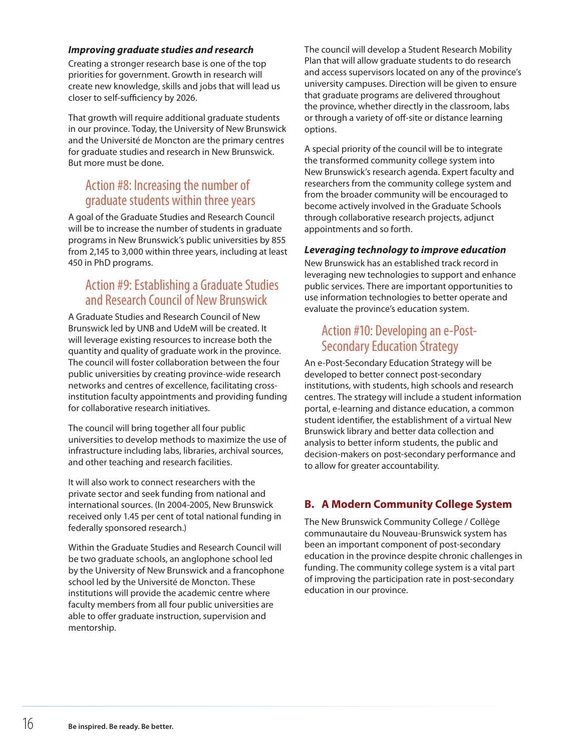#### *Improving graduate studies and research*

Creating a stronger research base is one of the top priorities for government. Growth in research will create new knowledge, skills and jobs that will lead us closer to self-sufficiency by 2026.

That growth will require additional graduate students in our province. Today, the University of New Brunswick and the Université de Moncton are the primary centres for graduate studies and research in New Brunswick. But more must be done.

## Action #8: Increasing the number of graduate students within three years

A goal of the Graduate Studies and Research Council will be to increase the number of students in graduate programs in New Brunswick's public universities by 855 from 2,145 to 3,000 within three years, including at least 450 in PhD programs.

#### Action #9: Establishing a Graduate Studies and Research Council of New Brunswick

A Graduate Studies and Research Council of New Brunswick led by UNB and UdeM will be created. It will leverage existing resources to increase both the quantity and quality of graduate work in the province. The council will foster collaboration between the four public universities by creating province-wide research networks and centres of excellence, facilitating crossinstitution faculty appointments and providing funding for collaborative research initiatives.

The council will bring together all four public universities to develop methods to maximize the use of infrastructure including labs, libraries, archival sources, and other teaching and research facilities.

It will also work to connect researchers with the private sector and seek funding from national and international sources. (In 2004-2005, New Brunswick received only 1.45 per cent of total national funding in federally sponsored research.)

Within the Graduate Studies and Research Council will be two graduate schools, an anglophone school led by the University of New Brunswick and a francophone school led by the Université de Moncton. These institutions will provide the academic centre where faculty members from all four public universities are able to offer graduate instruction, supervision and mentorship.

The council will develop a Student Research Mobility Plan that will allow graduate students to do research and access supervisors located on any of the province's university campuses. Direction will be given to ensure that graduate programs are delivered throughout the province, whether directly in the classroom, labs or through a variety of off-site or distance learning options.

A special priority of the council will be to integrate the transformed community college system into New Brunswick's research agenda. Expert faculty and researchers from the community college system and from the broader community will be encouraged to become actively involved in the Graduate Schools through collaborative research projects, adjunct appointments and so forth.

#### *Leveraging technology to improve education*

New Brunswick has an established track record in leveraging new technologies to support and enhance public services. There are important opportunities to use information technologies to better operate and evaluate the province's education system.

## Action #10: Developing an e-Post-Secondary Education Strategy

An e-Post-Secondary Education Strategy will be developed to better connect post-secondary institutions, with students, high schools and research centres. The strategy will include a student information portal, e-learning and distance education, a common student identifier, the establishment of a virtual New Brunswick library and better data collection and analysis to better inform students, the public and decision-makers on post-secondary performance and to allow for greater accountability.

#### **B. A Modern Community College System**

The New Brunswick Community College / Collège communautaire du Nouveau-Brunswick system has been an important component of post-secondary education in the province despite chronic challenges in funding. The community college system is a vital part of improving the participation rate in post-secondary education in our province.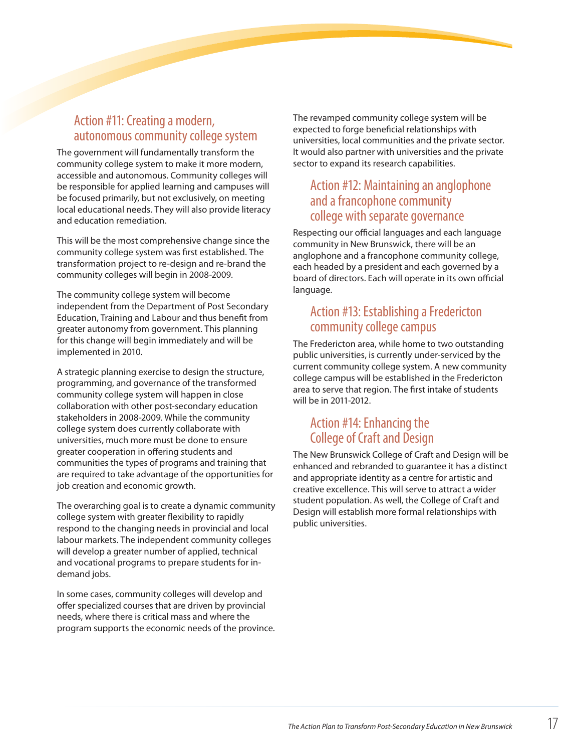## Action #11: Creating a modern, autonomous community college system

The government will fundamentally transform the community college system to make it more modern, accessible and autonomous. Community colleges will be responsible for applied learning and campuses will be focused primarily, but not exclusively, on meeting local educational needs. They will also provide literacy and education remediation.

This will be the most comprehensive change since the community college system was first established. The transformation project to re-design and re-brand the community colleges will begin in 2008-2009.

The community college system will become independent from the Department of Post Secondary Education, Training and Labour and thus benefit from greater autonomy from government. This planning for this change will begin immediately and will be implemented in 2010.

A strategic planning exercise to design the structure, programming, and governance of the transformed community college system will happen in close collaboration with other post-secondary education stakeholders in 2008-2009. While the community college system does currently collaborate with universities, much more must be done to ensure greater cooperation in offering students and communities the types of programs and training that are required to take advantage of the opportunities for job creation and economic growth.

The overarching goal is to create a dynamic community college system with greater flexibility to rapidly respond to the changing needs in provincial and local labour markets. The independent community colleges will develop a greater number of applied, technical and vocational programs to prepare students for indemand jobs.

In some cases, community colleges will develop and offer specialized courses that are driven by provincial needs, where there is critical mass and where the program supports the economic needs of the province. The revamped community college system will be expected to forge beneficial relationships with universities, local communities and the private sector. It would also partner with universities and the private sector to expand its research capabilities.

## Action #12: Maintaining an anglophone and a francophone community college with separate governance

Respecting our official languages and each language community in New Brunswick, there will be an anglophone and a francophone community college, each headed by a president and each governed by a board of directors. Each will operate in its own official language.

#### Action #13: Establishing a Fredericton community college campus

The Fredericton area, while home to two outstanding public universities, is currently under-serviced by the current community college system. A new community college campus will be established in the Fredericton area to serve that region. The first intake of students will be in 2011-2012.

## Action #14: Enhancing the College of Craft and Design

The New Brunswick College of Craft and Design will be enhanced and rebranded to guarantee it has a distinct and appropriate identity as a centre for artistic and creative excellence. This will serve to attract a wider student population. As well, the College of Craft and Design will establish more formal relationships with public universities.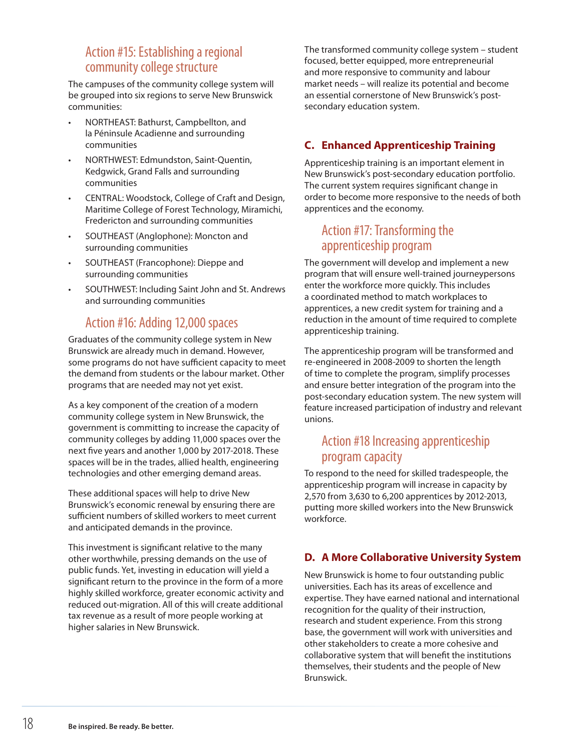## Action #15: Establishing a regional community college structure

The campuses of the community college system will be grouped into six regions to serve New Brunswick communities:

- NORTHEAST: Bathurst, Campbellton, and la Péninsule Acadienne and surrounding communities
- NORTHWEST: Edmundston, Saint-Quentin, Kedgwick, Grand Falls and surrounding communities
- CENTRAL: Woodstock, College of Craft and Design, Maritime College of Forest Technology, Miramichi, Fredericton and surrounding communities
- SOUTHEAST (Anglophone): Moncton and surrounding communities
- SOUTHEAST (Francophone): Dieppe and surrounding communities
- SOUTHWEST: Including Saint John and St. Andrews and surrounding communities

## Action #16: Adding 12,000 spaces

Graduates of the community college system in New Brunswick are already much in demand. However, some programs do not have sufficient capacity to meet the demand from students or the labour market. Other programs that are needed may not yet exist.

As a key component of the creation of a modern community college system in New Brunswick, the government is committing to increase the capacity of community colleges by adding 11,000 spaces over the next five years and another 1,000 by 2017-2018. These spaces will be in the trades, allied health, engineering technologies and other emerging demand areas.

These additional spaces will help to drive New Brunswick's economic renewal by ensuring there are sufficient numbers of skilled workers to meet current and anticipated demands in the province.

This investment is significant relative to the many other worthwhile, pressing demands on the use of public funds. Yet, investing in education will yield a significant return to the province in the form of a more highly skilled workforce, greater economic activity and reduced out-migration. All of this will create additional tax revenue as a result of more people working at higher salaries in New Brunswick.

The transformed community college system – student focused, better equipped, more entrepreneurial and more responsive to community and labour market needs – will realize its potential and become an essential cornerstone of New Brunswick's postsecondary education system.

#### **C. Enhanced Apprenticeship Training**

Apprenticeship training is an important element in New Brunswick's post-secondary education portfolio. The current system requires significant change in order to become more responsive to the needs of both apprentices and the economy.

## Action #17: Transforming the apprenticeship program

The government will develop and implement a new program that will ensure well-trained journeypersons enter the workforce more quickly. This includes a coordinated method to match workplaces to apprentices, a new credit system for training and a reduction in the amount of time required to complete apprenticeship training.

The apprenticeship program will be transformed and re-engineered in 2008-2009 to shorten the length of time to complete the program, simplify processes and ensure better integration of the program into the post-secondary education system. The new system will feature increased participation of industry and relevant unions.

## Action #18 Increasing apprenticeship program capacity

To respond to the need for skilled tradespeople, the apprenticeship program will increase in capacity by 2,570 from 3,630 to 6,200 apprentices by 2012-2013, putting more skilled workers into the New Brunswick workforce.

#### **D. A More Collaborative University System**

New Brunswick is home to four outstanding public universities. Each has its areas of excellence and expertise. They have earned national and international recognition for the quality of their instruction, research and student experience. From this strong base, the government will work with universities and other stakeholders to create a more cohesive and collaborative system that will benefit the institutions themselves, their students and the people of New Brunswick.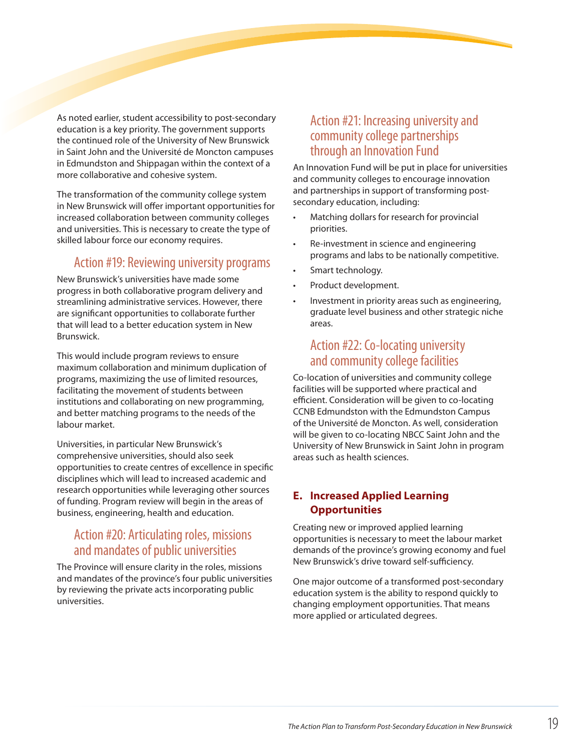As noted earlier, student accessibility to post-secondary education is a key priority. The government supports the continued role of the University of New Brunswick in Saint John and the Université de Moncton campuses in Edmundston and Shippagan within the context of a more collaborative and cohesive system.

The transformation of the community college system in New Brunswick will offer important opportunities for increased collaboration between community colleges and universities. This is necessary to create the type of skilled labour force our economy requires.

## Action #19: Reviewing university programs

New Brunswick's universities have made some progress in both collaborative program delivery and streamlining administrative services. However, there are significant opportunities to collaborate further that will lead to a better education system in New Brunswick.

This would include program reviews to ensure maximum collaboration and minimum duplication of programs, maximizing the use of limited resources, facilitating the movement of students between institutions and collaborating on new programming, and better matching programs to the needs of the labour market.

Universities, in particular New Brunswick's comprehensive universities, should also seek opportunities to create centres of excellence in specific disciplines which will lead to increased academic and research opportunities while leveraging other sources of funding. Program review will begin in the areas of business, engineering, health and education.

## Action #20: Articulating roles, missions and mandates of public universities

The Province will ensure clarity in the roles, missions and mandates of the province's four public universities by reviewing the private acts incorporating public universities.

## Action #21: Increasing university and community college partnerships through an Innovation Fund

An Innovation Fund will be put in place for universities and community colleges to encourage innovation and partnerships in support of transforming postsecondary education, including:

- Matching dollars for research for provincial priorities.
- Re-investment in science and engineering programs and labs to be nationally competitive.
- Smart technology.
- Product development.
- Investment in priority areas such as engineering, graduate level business and other strategic niche areas.

## Action #22: Co-locating university and community college facilities

Co-location of universities and community college facilities will be supported where practical and efficient. Consideration will be given to co-locating CCNB Edmundston with the Edmundston Campus of the Université de Moncton. As well, consideration will be given to co-locating NBCC Saint John and the University of New Brunswick in Saint John in program areas such as health sciences.

#### **E. Increased Applied Learning Opportunities**

Creating new or improved applied learning opportunities is necessary to meet the labour market demands of the province's growing economy and fuel New Brunswick's drive toward self-sufficiency.

One major outcome of a transformed post-secondary education system is the ability to respond quickly to changing employment opportunities. That means more applied or articulated degrees.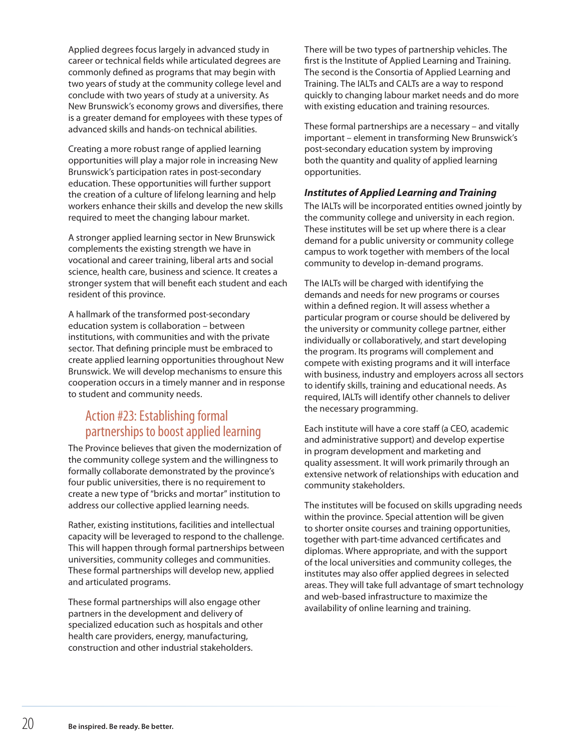Applied degrees focus largely in advanced study in career or technical fields while articulated degrees are commonly defined as programs that may begin with two years of study at the community college level and conclude with two years of study at a university. As New Brunswick's economy grows and diversifies, there is a greater demand for employees with these types of advanced skills and hands-on technical abilities.

Creating a more robust range of applied learning opportunities will play a major role in increasing New Brunswick's participation rates in post-secondary education. These opportunities will further support the creation of a culture of lifelong learning and help workers enhance their skills and develop the new skills required to meet the changing labour market.

A stronger applied learning sector in New Brunswick complements the existing strength we have in vocational and career training, liberal arts and social science, health care, business and science. It creates a stronger system that will benefit each student and each resident of this province.

A hallmark of the transformed post-secondary education system is collaboration – between institutions, with communities and with the private sector. That defining principle must be embraced to create applied learning opportunities throughout New Brunswick. We will develop mechanisms to ensure this cooperation occurs in a timely manner and in response to student and community needs.

## Action #23: Establishing formal partnerships to boost applied learning

The Province believes that given the modernization of the community college system and the willingness to formally collaborate demonstrated by the province's four public universities, there is no requirement to create a new type of "bricks and mortar" institution to address our collective applied learning needs.

Rather, existing institutions, facilities and intellectual capacity will be leveraged to respond to the challenge. This will happen through formal partnerships between universities, community colleges and communities. These formal partnerships will develop new, applied and articulated programs.

These formal partnerships will also engage other partners in the development and delivery of specialized education such as hospitals and other health care providers, energy, manufacturing, construction and other industrial stakeholders.

There will be two types of partnership vehicles. The first is the Institute of Applied Learning and Training. The second is the Consortia of Applied Learning and Training. The IALTs and CALTs are a way to respond quickly to changing labour market needs and do more with existing education and training resources.

These formal partnerships are a necessary – and vitally important – element in transforming New Brunswick's post-secondary education system by improving both the quantity and quality of applied learning opportunities.

#### *Institutes of Applied Learning and Training*

The IALTs will be incorporated entities owned jointly by the community college and university in each region. These institutes will be set up where there is a clear demand for a public university or community college campus to work together with members of the local community to develop in-demand programs.

The IALTs will be charged with identifying the demands and needs for new programs or courses within a defined region. It will assess whether a particular program or course should be delivered by the university or community college partner, either individually or collaboratively, and start developing the program. Its programs will complement and compete with existing programs and it will interface with business, industry and employers across all sectors to identify skills, training and educational needs. As required, IALTs will identify other channels to deliver the necessary programming.

Each institute will have a core staff (a CEO, academic and administrative support) and develop expertise in program development and marketing and quality assessment. It will work primarily through an extensive network of relationships with education and community stakeholders.

The institutes will be focused on skills upgrading needs within the province. Special attention will be given to shorter onsite courses and training opportunities, together with part-time advanced certificates and diplomas. Where appropriate, and with the support of the local universities and community colleges, the institutes may also offer applied degrees in selected areas. They will take full advantage of smart technology and web-based infrastructure to maximize the availability of online learning and training.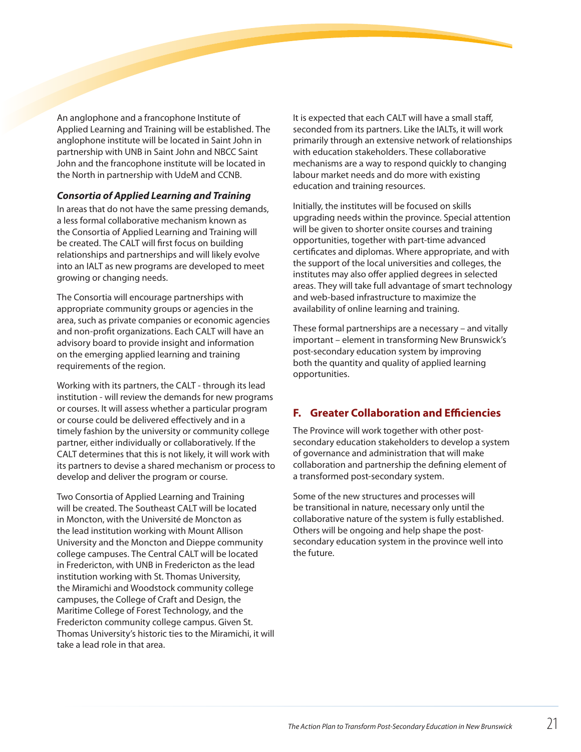An anglophone and a francophone Institute of Applied Learning and Training will be established. The anglophone institute will be located in Saint John in partnership with UNB in Saint John and NBCC Saint John and the francophone institute will be located in the North in partnership with UdeM and CCNB.

#### *Consortia of Applied Learning and Training*

In areas that do not have the same pressing demands, a less formal collaborative mechanism known as the Consortia of Applied Learning and Training will be created. The CALT will first focus on building relationships and partnerships and will likely evolve into an IALT as new programs are developed to meet growing or changing needs.

The Consortia will encourage partnerships with appropriate community groups or agencies in the area, such as private companies or economic agencies and non-profit organizations. Each CALT will have an advisory board to provide insight and information on the emerging applied learning and training requirements of the region.

Working with its partners, the CALT - through its lead institution - will review the demands for new programs or courses. It will assess whether a particular program or course could be delivered effectively and in a timely fashion by the university or community college partner, either individually or collaboratively. If the CALT determines that this is not likely, it will work with its partners to devise a shared mechanism or process to develop and deliver the program or course.

Two Consortia of Applied Learning and Training will be created. The Southeast CALT will be located in Moncton, with the Université de Moncton as the lead institution working with Mount Allison University and the Moncton and Dieppe community college campuses. The Central CALT will be located in Fredericton, with UNB in Fredericton as the lead institution working with St. Thomas University, the Miramichi and Woodstock community college campuses, the College of Craft and Design, the Maritime College of Forest Technology, and the Fredericton community college campus. Given St. Thomas University's historic ties to the Miramichi, it will take a lead role in that area.

It is expected that each CALT will have a small staff, seconded from its partners. Like the IALTs, it will work primarily through an extensive network of relationships with education stakeholders. These collaborative mechanisms are a way to respond quickly to changing labour market needs and do more with existing education and training resources.

Initially, the institutes will be focused on skills upgrading needs within the province. Special attention will be given to shorter onsite courses and training opportunities, together with part-time advanced certificates and diplomas. Where appropriate, and with the support of the local universities and colleges, the institutes may also offer applied degrees in selected areas. They will take full advantage of smart technology and web-based infrastructure to maximize the availability of online learning and training.

These formal partnerships are a necessary – and vitally important – element in transforming New Brunswick's post-secondary education system by improving both the quantity and quality of applied learning opportunities.

#### **F. Greater Collaboration and Efficiencies**

The Province will work together with other postsecondary education stakeholders to develop a system of governance and administration that will make collaboration and partnership the defining element of a transformed post-secondary system.

Some of the new structures and processes will be transitional in nature, necessary only until the collaborative nature of the system is fully established. Others will be ongoing and help shape the postsecondary education system in the province well into the future.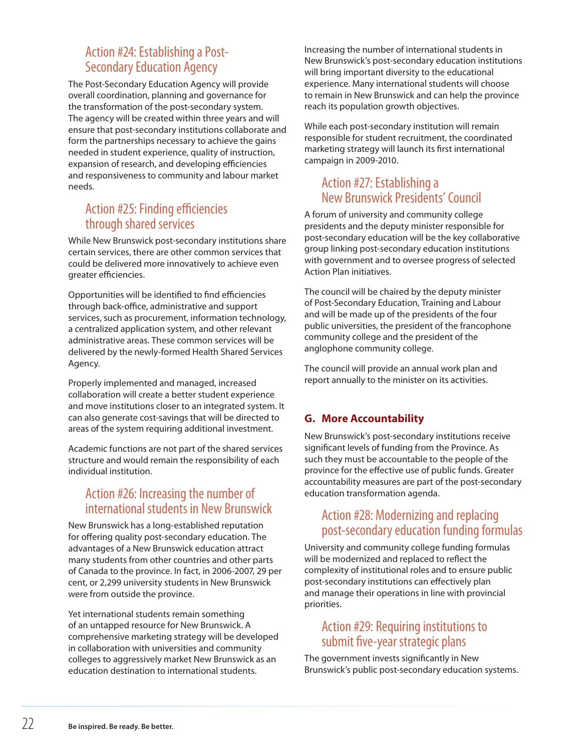## Action #24: Establishing a Post-Secondary Education Agency

The Post-Secondary Education Agency will provide overall coordination, planning and governance for the transformation of the post-secondary system. The agency will be created within three years and will ensure that post-secondary institutions collaborate and form the partnerships necessary to achieve the gains needed in student experience, quality of instruction, expansion of research, and developing efficiencies and responsiveness to community and labour market needs.

## Action #25: Finding efficiencies through shared services

While New Brunswick post-secondary institutions share certain services, there are other common services that could be delivered more innovatively to achieve even greater efficiencies.

Opportunities will be identified to find efficiencies through back-office, administrative and support services, such as procurement, information technology, a centralized application system, and other relevant administrative areas. These common services will be delivered by the newly-formed Health Shared Services Agency.

Properly implemented and managed, increased collaboration will create a better student experience and move institutions closer to an integrated system. It can also generate cost-savings that will be directed to areas of the system requiring additional investment.

Academic functions are not part of the shared services structure and would remain the responsibility of each individual institution.

## Action #26: Increasing the number of international students in New Brunswick

New Brunswick has a long-established reputation for offering quality post-secondary education. The advantages of a New Brunswick education attract many students from other countries and other parts of Canada to the province. In fact, in 2006-2007, 29 per cent, or 2,299 university students in New Brunswick were from outside the province.

Yet international students remain something of an untapped resource for New Brunswick. A comprehensive marketing strategy will be developed in collaboration with universities and community colleges to aggressively market New Brunswick as an education destination to international students.

Increasing the number of international students in New Brunswick's post-secondary education institutions will bring important diversity to the educational experience. Many international students will choose to remain in New Brunswick and can help the province reach its population growth objectives.

While each post-secondary institution will remain responsible for student recruitment, the coordinated marketing strategy will launch its first international campaign in 2009-2010.

## Action #27: Establishing a New Brunswick Presidents' Council

A forum of university and community college presidents and the deputy minister responsible for post-secondary education will be the key collaborative group linking post-secondary education institutions with government and to oversee progress of selected Action Plan initiatives.

The council will be chaired by the deputy minister of Post-Secondary Education, Training and Labour and will be made up of the presidents of the four public universities, the president of the francophone community college and the president of the anglophone community college.

The council will provide an annual work plan and report annually to the minister on its activities.

#### **G. More Accountability**

New Brunswick's post-secondary institutions receive significant levels of funding from the Province. As such they must be accountable to the people of the province for the effective use of public funds. Greater accountability measures are part of the post-secondary education transformation agenda.

## Action #28: Modernizing and replacing post-secondary education funding formulas

University and community college funding formulas will be modernized and replaced to reflect the complexity of institutional roles and to ensure public post-secondary institutions can effectively plan and manage their operations in line with provincial priorities.

#### Action #29: Requiring institutions to submit five-year strategic plans

The government invests significantly in New Brunswick's public post-secondary education systems.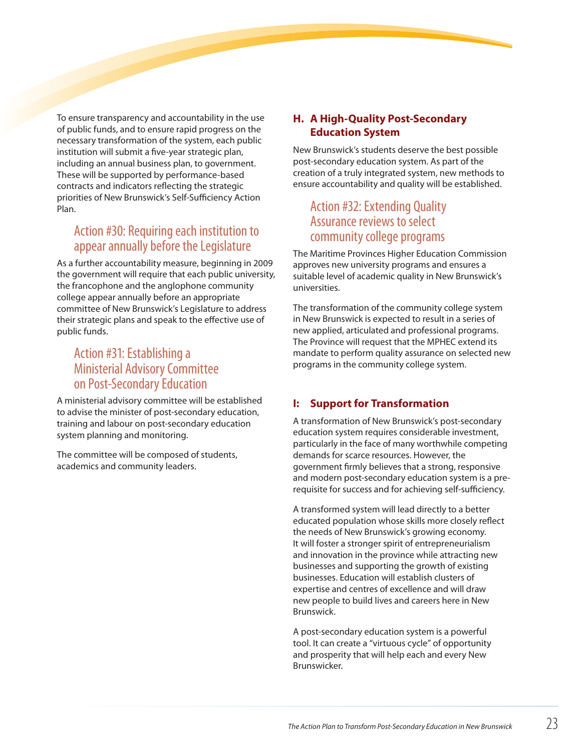To ensure transparency and accountability in the use of public funds, and to ensure rapid progress on the necessary transformation of the system, each public institution will submit a five-year strategic plan, including an annual business plan, to government. These will be supported by performance-based contracts and indicators reflecting the strategic priorities of New Brunswick's Self-Sufficiency Action Plan.

## Action #30: Requiring each institution to appear annually before the Legislature

As a further accountability measure, beginning in 2009 the government will require that each public university, the francophone and the anglophone community college appear annually before an appropriate committee of New Brunswick's Legislature to address their strategic plans and speak to the effective use of public funds.

## Action #31: Establishing a Ministerial Advisory Committee on Post-Secondary Education

A ministerial advisory committee will be established to advise the minister of post-secondary education, training and labour on post-secondary education system planning and monitoring.

The committee will be composed of students, academics and community leaders.

#### **H. A High-Quality Post-Secondary Education System**

New Brunswick's students deserve the best possible post-secondary education system. As part of the creation of a truly integrated system, new methods to ensure accountability and quality will be established.

## Action #32: Extending Quality Assurance reviews to select community college programs

The Maritime Provinces Higher Education Commission approves new university programs and ensures a suitable level of academic quality in New Brunswick's universities.

The transformation of the community college system in New Brunswick is expected to result in a series of new applied, articulated and professional programs. The Province will request that the MPHEC extend its mandate to perform quality assurance on selected new programs in the community college system.

#### **I: Support for Transformation**

A transformation of New Brunswick's post-secondary education system requires considerable investment, particularly in the face of many worthwhile competing demands for scarce resources. However, the government firmly believes that a strong, responsive and modern post-secondary education system is a prerequisite for success and for achieving self-sufficiency.

A transformed system will lead directly to a better educated population whose skills more closely reflect the needs of New Brunswick's growing economy. It will foster a stronger spirit of entrepreneurialism and innovation in the province while attracting new businesses and supporting the growth of existing businesses. Education will establish clusters of expertise and centres of excellence and will draw new people to build lives and careers here in New Brunswick.

A post-secondary education system is a powerful tool. It can create a "virtuous cycle" of opportunity and prosperity that will help each and every New Brunswicker.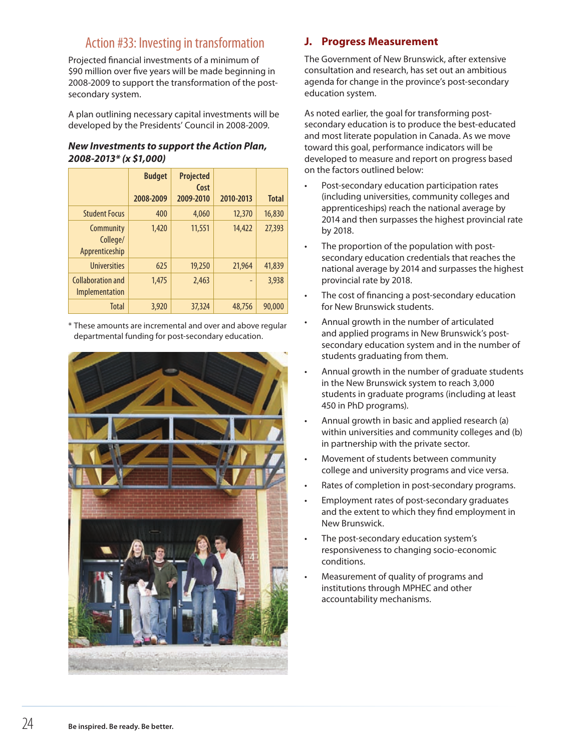## Action #33: Investing in transformation

Projected financial investments of a minimum of \$90 million over five years will be made beginning in 2008-2009 to support the transformation of the postsecondary system.

A plan outlining necessary capital investments will be developed by the Presidents' Council in 2008-2009.

#### *New Investments to support the Action Plan, 2008-2013\* (x \$1,000)*

|                                         | <b>Budget</b> | <b>Projected</b><br>Cost |           |              |
|-----------------------------------------|---------------|--------------------------|-----------|--------------|
|                                         | 2008-2009     | 2009-2010                | 2010-2013 | <b>Total</b> |
| <b>Student Focus</b>                    | 400           | 4,060                    | 12,370    | 16,830       |
| Community<br>College/<br>Apprenticeship | 1,420         | 11,551                   | 14,422    | 27,393       |
| <b>Universities</b>                     | 625           | 19,250                   | 21,964    | 41,839       |
| Collaboration and<br>Implementation     | 1.475         | 2,463                    | ٠         | 3,938        |
| <b>Total</b>                            | 3,920         | 37,324                   | 48,756    | 90,000       |

\* These amounts are incremental and over and above regular departmental funding for post-secondary education.



#### **J. Progress Measurement**

The Government of New Brunswick, after extensive consultation and research, has set out an ambitious agenda for change in the province's post-secondary education system.

As noted earlier, the goal for transforming postsecondary education is to produce the best-educated and most literate population in Canada. As we move toward this goal, performance indicators will be developed to measure and report on progress based on the factors outlined below:

- • Post-secondary education participation rates (including universities, community colleges and apprenticeships) reach the national average by 2014 and then surpasses the highest provincial rate by 2018.
- The proportion of the population with postsecondary education credentials that reaches the national average by 2014 and surpasses the highest provincial rate by 2018.
- The cost of financing a post-secondary education for New Brunswick students.
- Annual growth in the number of articulated and applied programs in New Brunswick's postsecondary education system and in the number of students graduating from them.
- Annual growth in the number of graduate students in the New Brunswick system to reach 3,000 students in graduate programs (including at least 450 in PhD programs).
- Annual growth in basic and applied research (a) within universities and community colleges and (b) in partnership with the private sector.
- Movement of students between community college and university programs and vice versa.
- Rates of completion in post-secondary programs.
- Employment rates of post-secondary graduates and the extent to which they find employment in New Brunswick.
- The post-secondary education system's responsiveness to changing socio-economic conditions.
- Measurement of quality of programs and institutions through MPHEC and other accountability mechanisms.